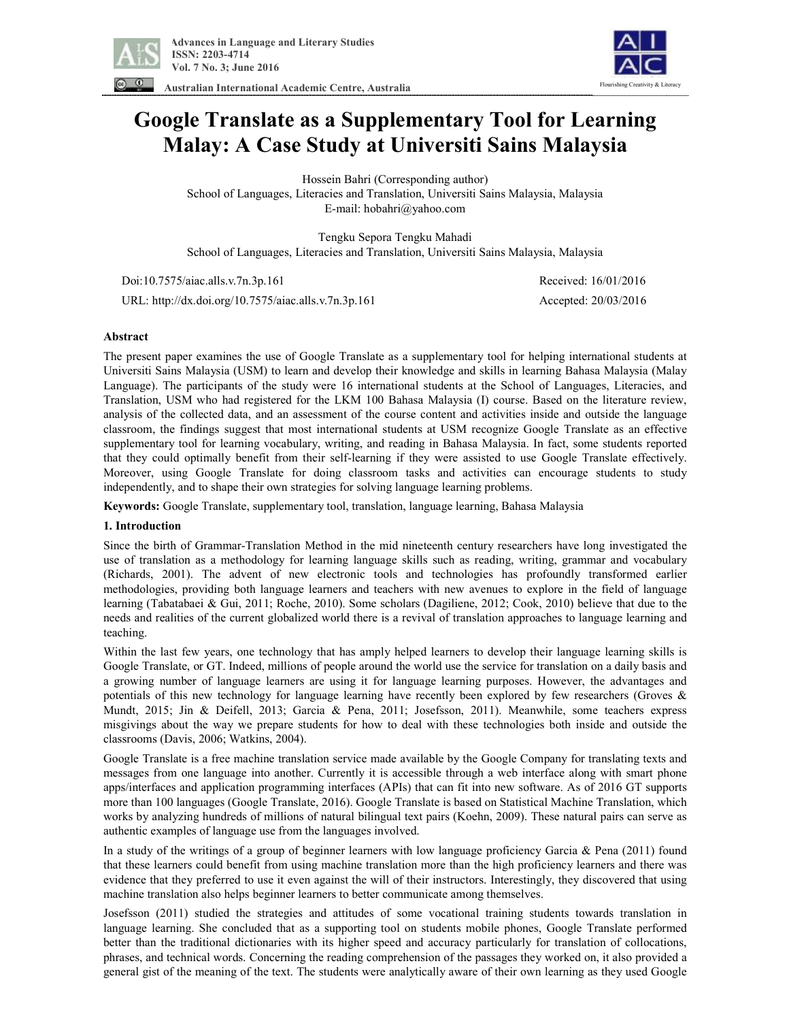

Flourishing Creativity & Literacy

**Australian International Academic Centre, Australia** 

# **Google Translate as a Supplementary Tool for Learning Malay: A Case Study at Universiti Sains Malaysia**

Hossein Bahri (Corresponding author) School of Languages, Literacies and Translation, Universiti Sains Malaysia, Malaysia E-mail: hobahri@yahoo.com

Tengku Sepora Tengku Mahadi School of Languages, Literacies and Translation, Universiti Sains Malaysia, Malaysia

 Doi:10.7575/aiac.alls.v.7n.3p.161 Received: 16/01/2016 URL: http://dx.doi.org/10.7575/aiac.alls.v.7n.3p.161 Accepted: 20/03/2016

# **Abstract**

The present paper examines the use of Google Translate as a supplementary tool for helping international students at Universiti Sains Malaysia (USM) to learn and develop their knowledge and skills in learning Bahasa Malaysia (Malay Language). The participants of the study were 16 international students at the School of Languages, Literacies, and Translation, USM who had registered for the LKM 100 Bahasa Malaysia (I) course. Based on the literature review, analysis of the collected data, and an assessment of the course content and activities inside and outside the language classroom, the findings suggest that most international students at USM recognize Google Translate as an effective supplementary tool for learning vocabulary, writing, and reading in Bahasa Malaysia. In fact, some students reported that they could optimally benefit from their self-learning if they were assisted to use Google Translate effectively. Moreover, using Google Translate for doing classroom tasks and activities can encourage students to study independently, and to shape their own strategies for solving language learning problems.

**Keywords:** Google Translate, supplementary tool, translation, language learning, Bahasa Malaysia

# **1. Introduction**

Since the birth of Grammar-Translation Method in the mid nineteenth century researchers have long investigated the use of translation as a methodology for learning language skills such as reading, writing, grammar and vocabulary (Richards, 2001). The advent of new electronic tools and technologies has profoundly transformed earlier methodologies, providing both language learners and teachers with new avenues to explore in the field of language learning (Tabatabaei & Gui, 2011; Roche, 2010). Some scholars (Dagiliene, 2012; Cook, 2010) believe that due to the needs and realities of the current globalized world there is a revival of translation approaches to language learning and teaching.

Within the last few years, one technology that has amply helped learners to develop their language learning skills is Google Translate, or GT. Indeed, millions of people around the world use the service for translation on a daily basis and a growing number of language learners are using it for language learning purposes. However, the advantages and potentials of this new technology for language learning have recently been explored by few researchers (Groves & Mundt, 2015; Jin & Deifell, 2013; Garcia & Pena, 2011; Josefsson, 2011). Meanwhile, some teachers express misgivings about the way we prepare students for how to deal with these technologies both inside and outside the classrooms (Davis, 2006; Watkins, 2004).

Google Translate is a free machine translation service made available by the Google Company for translating texts and messages from one language into another. Currently it is accessible through a web interface along with smart phone apps/interfaces and application programming interfaces (APIs) that can fit into new software. As of 2016 GT supports more than 100 languages (Google Translate, 2016). Google Translate is based on Statistical Machine Translation, which works by analyzing hundreds of millions of natural bilingual text pairs (Koehn, 2009). These natural pairs can serve as authentic examples of language use from the languages involved.

In a study of the writings of a group of beginner learners with low language proficiency Garcia & Pena (2011) found that these learners could benefit from using machine translation more than the high proficiency learners and there was evidence that they preferred to use it even against the will of their instructors. Interestingly, they discovered that using machine translation also helps beginner learners to better communicate among themselves.

Josefsson (2011) studied the strategies and attitudes of some vocational training students towards translation in language learning. She concluded that as a supporting tool on students mobile phones, Google Translate performed better than the traditional dictionaries with its higher speed and accuracy particularly for translation of collocations, phrases, and technical words. Concerning the reading comprehension of the passages they worked on, it also provided a general gist of the meaning of the text. The students were analytically aware of their own learning as they used Google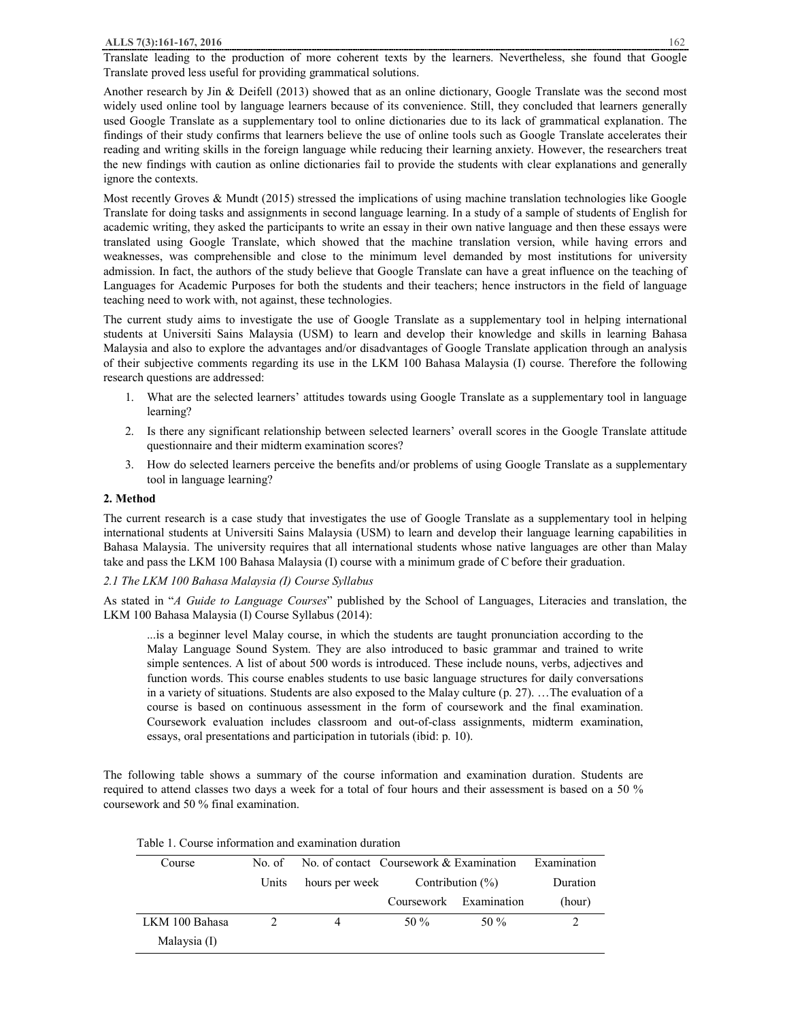Translate leading to the production of more coherent texts by the learners. Nevertheless, she found that Google Translate proved less useful for providing grammatical solutions.

Another research by Jin & Deifell (2013) showed that as an online dictionary, Google Translate was the second most widely used online tool by language learners because of its convenience. Still, they concluded that learners generally used Google Translate as a supplementary tool to online dictionaries due to its lack of grammatical explanation. The findings of their study confirms that learners believe the use of online tools such as Google Translate accelerates their reading and writing skills in the foreign language while reducing their learning anxiety. However, the researchers treat the new findings with caution as online dictionaries fail to provide the students with clear explanations and generally ignore the contexts.

Most recently Groves & Mundt (2015) stressed the implications of using machine translation technologies like Google Translate for doing tasks and assignments in second language learning. In a study of a sample of students of English for academic writing, they asked the participants to write an essay in their own native language and then these essays were translated using Google Translate, which showed that the machine translation version, while having errors and weaknesses, was comprehensible and close to the minimum level demanded by most institutions for university admission. In fact, the authors of the study believe that Google Translate can have a great influence on the teaching of Languages for Academic Purposes for both the students and their teachers; hence instructors in the field of language teaching need to work with, not against, these technologies.

The current study aims to investigate the use of Google Translate as a supplementary tool in helping international students at Universiti Sains Malaysia (USM) to learn and develop their knowledge and skills in learning Bahasa Malaysia and also to explore the advantages and/or disadvantages of Google Translate application through an analysis of their subjective comments regarding its use in the LKM 100 Bahasa Malaysia (I) course. Therefore the following research questions are addressed:

- 1. What are the selected learners' attitudes towards using Google Translate as a supplementary tool in language learning?
- 2. Is there any significant relationship between selected learners' overall scores in the Google Translate attitude questionnaire and their midterm examination scores?
- 3. How do selected learners perceive the benefits and/or problems of using Google Translate as a supplementary tool in language learning?

# **2. Method**

The current research is a case study that investigates the use of Google Translate as a supplementary tool in helping international students at Universiti Sains Malaysia (USM) to learn and develop their language learning capabilities in Bahasa Malaysia. The university requires that all international students whose native languages are other than Malay take and pass the LKM 100 Bahasa Malaysia (I) course with a minimum grade of C before their graduation.

# *2.1 The LKM 100 Bahasa Malaysia (I) Course Syllabus*

As stated in "*A Guide to Language Courses*" published by the School of Languages, Literacies and translation, the LKM 100 Bahasa Malaysia (I) Course Syllabus (2014):

...is a beginner level Malay course, in which the students are taught pronunciation according to the Malay Language Sound System. They are also introduced to basic grammar and trained to write simple sentences. A list of about 500 words is introduced. These include nouns, verbs, adjectives and function words. This course enables students to use basic language structures for daily conversations in a variety of situations. Students are also exposed to the Malay culture (p. 27). …The evaluation of a course is based on continuous assessment in the form of coursework and the final examination. Coursework evaluation includes classroom and out-of-class assignments, midterm examination, essays, oral presentations and participation in tutorials (ibid: p. 10).

The following table shows a summary of the course information and examination duration. Students are required to attend classes two days a week for a total of four hours and their assessment is based on a 50 % coursework and 50 % final examination.

| Course         | No. of | No. of contact Coursework & Examination |                      |                        | Examination |
|----------------|--------|-----------------------------------------|----------------------|------------------------|-------------|
|                | Units  | hours per week                          | Contribution $(\% )$ |                        | Duration    |
|                |        |                                         |                      | Coursework Examination | (hour)      |
| LKM 100 Bahasa |        | 4                                       | 50 %                 | 50 %                   |             |
| Malaysia (I)   |        |                                         |                      |                        |             |

# Table 1. Course information and examination duration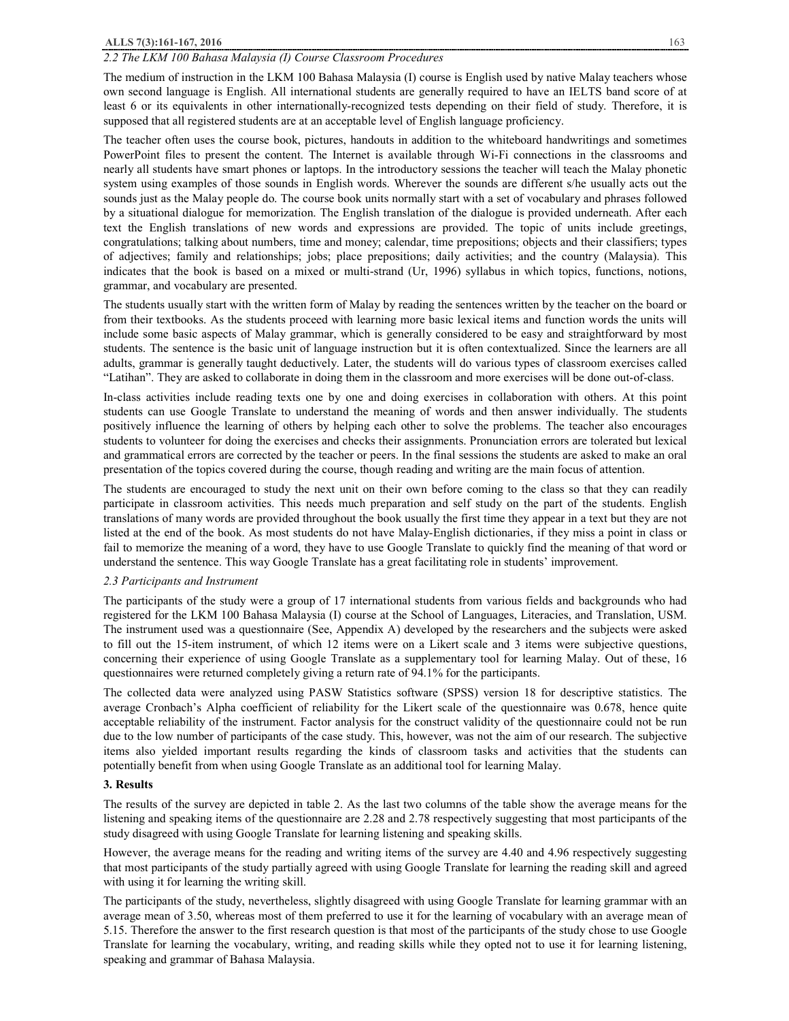# **ALLS 7(3):161-167, 2016** 163

# *2.2 The LKM 100 Bahasa Malaysia (I) Course Classroom Procedures*

The medium of instruction in the LKM 100 Bahasa Malaysia (I) course is English used by native Malay teachers whose own second language is English. All international students are generally required to have an IELTS band score of at least 6 or its equivalents in other internationally-recognized tests depending on their field of study. Therefore, it is supposed that all registered students are at an acceptable level of English language proficiency.

The teacher often uses the course book, pictures, handouts in addition to the whiteboard handwritings and sometimes PowerPoint files to present the content. The Internet is available through Wi-Fi connections in the classrooms and nearly all students have smart phones or laptops. In the introductory sessions the teacher will teach the Malay phonetic system using examples of those sounds in English words. Wherever the sounds are different s/he usually acts out the sounds just as the Malay people do. The course book units normally start with a set of vocabulary and phrases followed by a situational dialogue for memorization. The English translation of the dialogue is provided underneath. After each text the English translations of new words and expressions are provided. The topic of units include greetings, congratulations; talking about numbers, time and money; calendar, time prepositions; objects and their classifiers; types of adjectives; family and relationships; jobs; place prepositions; daily activities; and the country (Malaysia). This indicates that the book is based on a mixed or multi-strand (Ur, 1996) syllabus in which topics, functions, notions, grammar, and vocabulary are presented.

The students usually start with the written form of Malay by reading the sentences written by the teacher on the board or from their textbooks. As the students proceed with learning more basic lexical items and function words the units will include some basic aspects of Malay grammar, which is generally considered to be easy and straightforward by most students. The sentence is the basic unit of language instruction but it is often contextualized. Since the learners are all adults, grammar is generally taught deductively. Later, the students will do various types of classroom exercises called "Latihan". They are asked to collaborate in doing them in the classroom and more exercises will be done out-of-class.

In-class activities include reading texts one by one and doing exercises in collaboration with others. At this point students can use Google Translate to understand the meaning of words and then answer individually. The students positively influence the learning of others by helping each other to solve the problems. The teacher also encourages students to volunteer for doing the exercises and checks their assignments. Pronunciation errors are tolerated but lexical and grammatical errors are corrected by the teacher or peers. In the final sessions the students are asked to make an oral presentation of the topics covered during the course, though reading and writing are the main focus of attention.

The students are encouraged to study the next unit on their own before coming to the class so that they can readily participate in classroom activities. This needs much preparation and self study on the part of the students. English translations of many words are provided throughout the book usually the first time they appear in a text but they are not listed at the end of the book. As most students do not have Malay-English dictionaries, if they miss a point in class or fail to memorize the meaning of a word, they have to use Google Translate to quickly find the meaning of that word or understand the sentence. This way Google Translate has a great facilitating role in students' improvement.

#### *2.3 Participants and Instrument*

The participants of the study were a group of 17 international students from various fields and backgrounds who had registered for the LKM 100 Bahasa Malaysia (I) course at the School of Languages, Literacies, and Translation, USM. The instrument used was a questionnaire (See, Appendix A) developed by the researchers and the subjects were asked to fill out the 15-item instrument, of which 12 items were on a Likert scale and 3 items were subjective questions, concerning their experience of using Google Translate as a supplementary tool for learning Malay. Out of these, 16 questionnaires were returned completely giving a return rate of 94.1% for the participants.

The collected data were analyzed using PASW Statistics software (SPSS) version 18 for descriptive statistics. The average Cronbach's Alpha coefficient of reliability for the Likert scale of the questionnaire was 0.678, hence quite acceptable reliability of the instrument. Factor analysis for the construct validity of the questionnaire could not be run due to the low number of participants of the case study. This, however, was not the aim of our research. The subjective items also yielded important results regarding the kinds of classroom tasks and activities that the students can potentially benefit from when using Google Translate as an additional tool for learning Malay.

## **3. Results**

The results of the survey are depicted in table 2. As the last two columns of the table show the average means for the listening and speaking items of the questionnaire are 2.28 and 2.78 respectively suggesting that most participants of the study disagreed with using Google Translate for learning listening and speaking skills.

However, the average means for the reading and writing items of the survey are 4.40 and 4.96 respectively suggesting that most participants of the study partially agreed with using Google Translate for learning the reading skill and agreed with using it for learning the writing skill.

The participants of the study, nevertheless, slightly disagreed with using Google Translate for learning grammar with an average mean of 3.50, whereas most of them preferred to use it for the learning of vocabulary with an average mean of 5.15. Therefore the answer to the first research question is that most of the participants of the study chose to use Google Translate for learning the vocabulary, writing, and reading skills while they opted not to use it for learning listening, speaking and grammar of Bahasa Malaysia.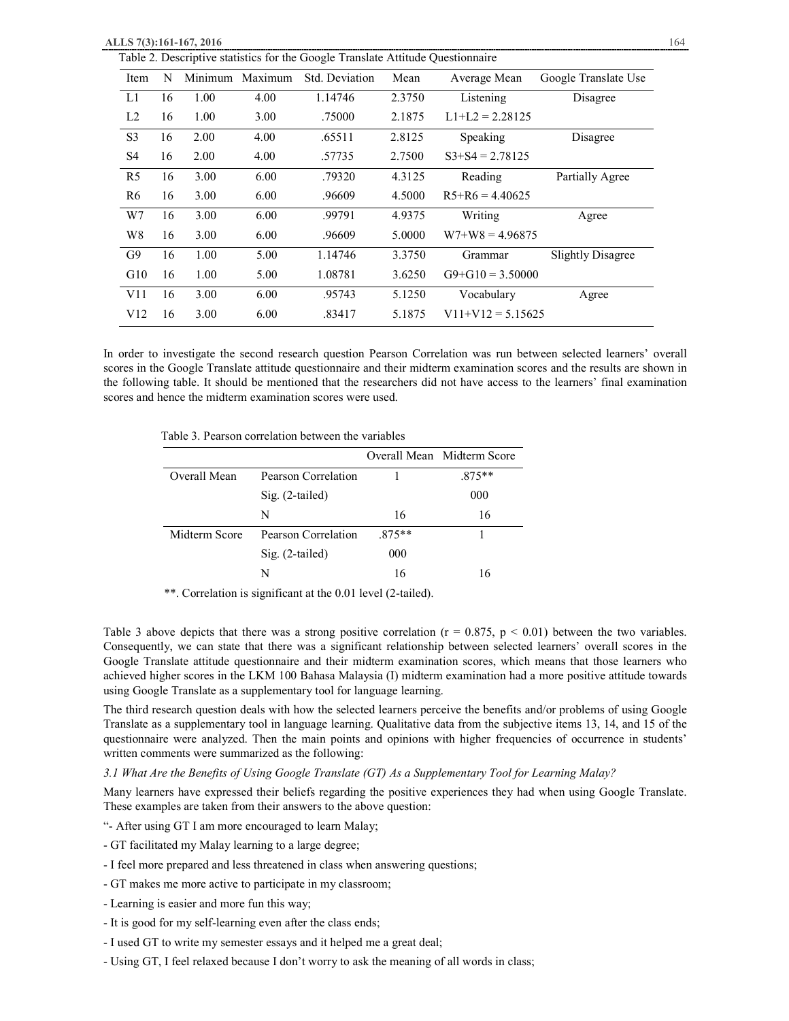| Item           | N  | Minimum | Maximum | Std. Deviation | Mean   | Average Mean        | Google Translate Use     |
|----------------|----|---------|---------|----------------|--------|---------------------|--------------------------|
| L1             | 16 | 1.00    | 4.00    | 1.14746        | 2.3750 | Listening           | Disagree                 |
| L2             | 16 | 1.00    | 3.00    | .75000         | 2.1875 | $L1+L2 = 2.28125$   |                          |
| S <sub>3</sub> | 16 | 2.00    | 4.00    | .65511         | 2.8125 | Speaking            | Disagree                 |
| S4             | 16 | 2.00    | 4.00    | .57735         | 2.7500 | $S3+S4 = 2.78125$   |                          |
| R <sub>5</sub> | 16 | 3.00    | 6.00    | .79320         | 4.3125 | Reading             | Partially Agree          |
| R6             | 16 | 3.00    | 6.00    | .96609         | 4.5000 | $R5+R6 = 4.40625$   |                          |
| W7             | 16 | 3.00    | 6.00    | .99791         | 4.9375 | Writing             | Agree                    |
| W8             | 16 | 3.00    | 6.00    | .96609         | 5.0000 | $W7+W8 = 4.96875$   |                          |
| G9             | 16 | 1.00    | 5.00    | 1.14746        | 3.3750 | Grammar             | <b>Slightly Disagree</b> |
| G10            | 16 | 1.00    | 5.00    | 1.08781        | 3.6250 | $G9+G10 = 3.50000$  |                          |
| V11            | 16 | 3.00    | 6.00    | .95743         | 5.1250 | Vocabulary          | Agree                    |
| V12            | 16 | 3.00    | 6.00    | .83417         | 5.1875 | $V11+V12 = 5.15625$ |                          |

In order to investigate the second research question Pearson Correlation was run between selected learners' overall scores in the Google Translate attitude questionnaire and their midterm examination scores and the results are shown in the following table. It should be mentioned that the researchers did not have access to the learners' final examination scores and hence the midterm examination scores were used.

Table 3. Pearson correlation between the variables

|               |                     |          | Overall Mean Midterm Score |
|---------------|---------------------|----------|----------------------------|
| Overall Mean  | Pearson Correlation |          | $.875**$                   |
|               | $Sig. (2-tailed)$   |          | 000                        |
|               | N                   | 16       | 16                         |
| Midterm Score | Pearson Correlation | $.875**$ |                            |
|               | $Sig. (2-tailed)$   | 000      |                            |
|               |                     | 16       | 16                         |

\*\*. Correlation is significant at the 0.01 level (2-tailed).

Table 3 above depicts that there was a strong positive correlation ( $r = 0.875$ ,  $p < 0.01$ ) between the two variables. Consequently, we can state that there was a significant relationship between selected learners' overall scores in the Google Translate attitude questionnaire and their midterm examination scores, which means that those learners who achieved higher scores in the LKM 100 Bahasa Malaysia (I) midterm examination had a more positive attitude towards using Google Translate as a supplementary tool for language learning.

The third research question deals with how the selected learners perceive the benefits and/or problems of using Google Translate as a supplementary tool in language learning. Qualitative data from the subjective items 13, 14, and 15 of the questionnaire were analyzed. Then the main points and opinions with higher frequencies of occurrence in students' written comments were summarized as the following:

# *3.1 What Are the Benefits of Using Google Translate (GT) As a Supplementary Tool for Learning Malay?*

Many learners have expressed their beliefs regarding the positive experiences they had when using Google Translate. These examples are taken from their answers to the above question:

"- After using GT I am more encouraged to learn Malay;

- GT facilitated my Malay learning to a large degree;
- I feel more prepared and less threatened in class when answering questions;
- GT makes me more active to participate in my classroom;
- Learning is easier and more fun this way;
- It is good for my self-learning even after the class ends;
- I used GT to write my semester essays and it helped me a great deal;
- Using GT, I feel relaxed because I don't worry to ask the meaning of all words in class;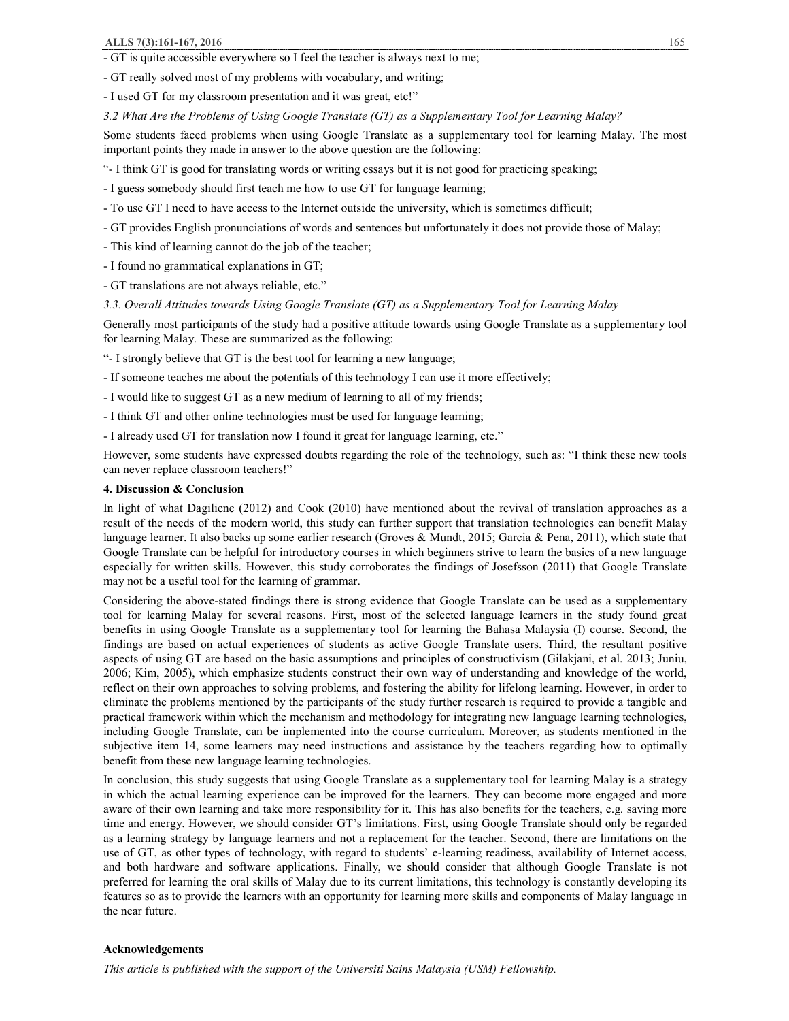- GT is quite accessible everywhere so I feel the teacher is always next to me;
- GT really solved most of my problems with vocabulary, and writing;

- I used GT for my classroom presentation and it was great, etc!"

*3.2 What Are the Problems of Using Google Translate (GT) as a Supplementary Tool for Learning Malay?* 

Some students faced problems when using Google Translate as a supplementary tool for learning Malay. The most important points they made in answer to the above question are the following:

"- I think GT is good for translating words or writing essays but it is not good for practicing speaking;

- I guess somebody should first teach me how to use GT for language learning;

- To use GT I need to have access to the Internet outside the university, which is sometimes difficult;

- GT provides English pronunciations of words and sentences but unfortunately it does not provide those of Malay;
- This kind of learning cannot do the job of the teacher;

- I found no grammatical explanations in GT;

- GT translations are not always reliable, etc."

*3.3. Overall Attitudes towards Using Google Translate (GT) as a Supplementary Tool for Learning Malay* 

Generally most participants of the study had a positive attitude towards using Google Translate as a supplementary tool for learning Malay. These are summarized as the following:

"- I strongly believe that GT is the best tool for learning a new language;

- If someone teaches me about the potentials of this technology I can use it more effectively;

- I would like to suggest GT as a new medium of learning to all of my friends;

- I think GT and other online technologies must be used for language learning;

- I already used GT for translation now I found it great for language learning, etc."

However, some students have expressed doubts regarding the role of the technology, such as: "I think these new tools can never replace classroom teachers!"

## **4. Discussion & Conclusion**

In light of what Dagiliene (2012) and Cook (2010) have mentioned about the revival of translation approaches as a result of the needs of the modern world, this study can further support that translation technologies can benefit Malay language learner. It also backs up some earlier research (Groves & Mundt, 2015; Garcia & Pena, 2011), which state that Google Translate can be helpful for introductory courses in which beginners strive to learn the basics of a new language especially for written skills. However, this study corroborates the findings of Josefsson (2011) that Google Translate may not be a useful tool for the learning of grammar.

Considering the above-stated findings there is strong evidence that Google Translate can be used as a supplementary tool for learning Malay for several reasons. First, most of the selected language learners in the study found great benefits in using Google Translate as a supplementary tool for learning the Bahasa Malaysia (I) course. Second, the findings are based on actual experiences of students as active Google Translate users. Third, the resultant positive aspects of using GT are based on the basic assumptions and principles of constructivism (Gilakjani, et al. 2013; Juniu, 2006; Kim, 2005), which emphasize students construct their own way of understanding and knowledge of the world, reflect on their own approaches to solving problems, and fostering the ability for lifelong learning. However, in order to eliminate the problems mentioned by the participants of the study further research is required to provide a tangible and practical framework within which the mechanism and methodology for integrating new language learning technologies, including Google Translate, can be implemented into the course curriculum. Moreover, as students mentioned in the subjective item 14, some learners may need instructions and assistance by the teachers regarding how to optimally benefit from these new language learning technologies.

In conclusion, this study suggests that using Google Translate as a supplementary tool for learning Malay is a strategy in which the actual learning experience can be improved for the learners. They can become more engaged and more aware of their own learning and take more responsibility for it. This has also benefits for the teachers, e.g. saving more time and energy. However, we should consider GT's limitations. First, using Google Translate should only be regarded as a learning strategy by language learners and not a replacement for the teacher. Second, there are limitations on the use of GT, as other types of technology, with regard to students' e-learning readiness, availability of Internet access, and both hardware and software applications. Finally, we should consider that although Google Translate is not preferred for learning the oral skills of Malay due to its current limitations, this technology is constantly developing its features so as to provide the learners with an opportunity for learning more skills and components of Malay language in the near future.

# **Acknowledgements**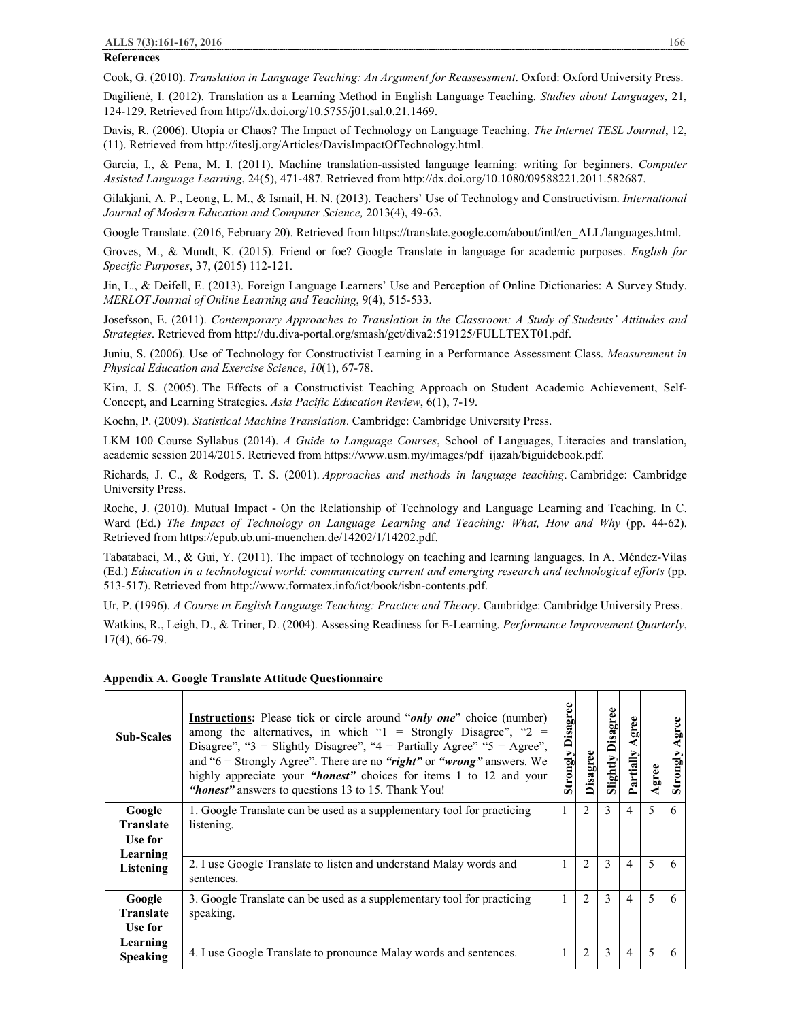# **ALLS 7(3):161-167, 2016** 166

## **References**

Cook, G. (2010). *Translation in Language Teaching: An Argument for Reassessment*. Oxford: Oxford University Press.

Dagilienė, I. (2012). Translation as a Learning Method in English Language Teaching. *Studies about Languages*, 21, 124-129. Retrieved from http://dx.doi.org/10.5755/j01.sal.0.21.1469.

Davis, R. (2006). Utopia or Chaos? The Impact of Technology on Language Teaching. *The Internet TESL Journal*, 12, (11). Retrieved from http://iteslj.org/Articles/DavisImpactOfTechnology.html.

Garcia, I., & Pena, M. I. (2011). Machine translation-assisted language learning: writing for beginners. *Computer Assisted Language Learning*, 24(5), 471-487. Retrieved from http://dx.doi.org/10.1080/09588221.2011.582687.

Gilakjani, A. P., Leong, L. M., & Ismail, H. N. (2013). Teachers' Use of Technology and Constructivism. *International Journal of Modern Education and Computer Science,* 2013(4), 49-63.

Google Translate. (2016, February 20). Retrieved from https://translate.google.com/about/intl/en\_ALL/languages.html.

Groves, M., & Mundt, K. (2015). Friend or foe? Google Translate in language for academic purposes. *English for Specific Purposes*, 37, (2015) 112-121.

Jin, L., & Deifell, E. (2013). Foreign Language Learners' Use and Perception of Online Dictionaries: A Survey Study. *MERLOT Journal of Online Learning and Teaching*, 9(4), 515-533.

Josefsson, E. (2011). *Contemporary Approaches to Translation in the Classroom: A Study of Students' Attitudes and Strategies*. Retrieved from http://du.diva-portal.org/smash/get/diva2:519125/FULLTEXT01.pdf.

Juniu, S. (2006). Use of Technology for Constructivist Learning in a Performance Assessment Class. *Measurement in Physical Education and Exercise Science*, *10*(1), 67-78.

Kim, J. S. (2005). The Effects of a Constructivist Teaching Approach on Student Academic Achievement, Self-Concept, and Learning Strategies. *Asia Pacific Education Review*, 6(1), 7-19.

Koehn, P. (2009). *Statistical Machine Translation*. Cambridge: Cambridge University Press.

LKM 100 Course Syllabus (2014). *A Guide to Language Courses*, School of Languages, Literacies and translation, academic session 2014/2015. Retrieved from https://www.usm.my/images/pdf\_ijazah/biguidebook.pdf.

Richards, J. C., & Rodgers, T. S. (2001). *Approaches and methods in language teaching*. Cambridge: Cambridge University Press.

Roche, J. (2010). Mutual Impact - On the Relationship of Technology and Language Learning and Teaching. In C. Ward (Ed.) *The Impact of Technology on Language Learning and Teaching: What, How and Why* (pp. 44-62). Retrieved from https://epub.ub.uni-muenchen.de/14202/1/14202.pdf.

Tabatabaei, M., & Gui, Y. (2011). The impact of technology on teaching and learning languages. In A. Méndez-Vilas (Ed.) *Education in a technological world: communicating current and emerging research and technological efforts* (pp. 513-517). Retrieved from http://www.formatex.info/ict/book/isbn-contents.pdf.

Ur, P. (1996). *A Course in English Language Teaching: Practice and Theory*. Cambridge: Cambridge University Press.

Watkins, R., Leigh, D., & Triner, D. (2004). Assessing Readiness for E-Learning. *Performance Improvement Quarterly*, 17(4), 66-79.

## **Appendix A. Google Translate Attitude Questionnaire**

| <b>Sub-Scales</b>                                 | <b>Instructions:</b> Please tick or circle around " <i>only one</i> " choice (number)<br>among the alternatives, in which " $1 =$ Strongly Disagree", " $2 =$<br>Disagree", "3 = Slightly Disagree", "4 = Partially Agree" "5 = Agree",<br>and " $6$ = Strongly Agree". There are no "right" or "wrong" answers. We<br>highly appreciate your "honest" choices for items 1 to 12 and your<br>"honest" answers to questions 13 to 15. Thank You! | <b>Strongly Disagree</b> | Disagree | Disagree<br>Slightly | gree<br>Partially | gree | gree<br>Strongly |
|---------------------------------------------------|-------------------------------------------------------------------------------------------------------------------------------------------------------------------------------------------------------------------------------------------------------------------------------------------------------------------------------------------------------------------------------------------------------------------------------------------------|--------------------------|----------|----------------------|-------------------|------|------------------|
| Google<br><b>Translate</b><br>Use for<br>Learning | 1. Google Translate can be used as a supplementary tool for practicing<br>listening.                                                                                                                                                                                                                                                                                                                                                            |                          | 2        | 3                    | 4                 | 5    | 6                |
| Listening                                         | 2. I use Google Translate to listen and understand Malay words and<br>sentences.                                                                                                                                                                                                                                                                                                                                                                |                          | 2        | 3                    | 4                 | 5    | 6                |
| Google<br><b>Translate</b><br>Use for<br>Learning | 3. Google Translate can be used as a supplementary tool for practicing<br>speaking.                                                                                                                                                                                                                                                                                                                                                             | -                        | 2        | 3                    | 4                 | 5    | 6                |
| <b>Speaking</b>                                   | 4. I use Google Translate to pronounce Malay words and sentences.                                                                                                                                                                                                                                                                                                                                                                               |                          | 2        | 3                    | 4                 | 5    | 6                |